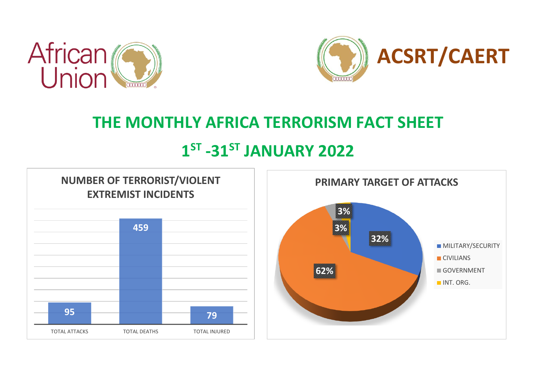



## **THE MONTHLY AFRICA TERRORISM FACT SHEET**

# **1 ST -31ST JANUARY 2022**



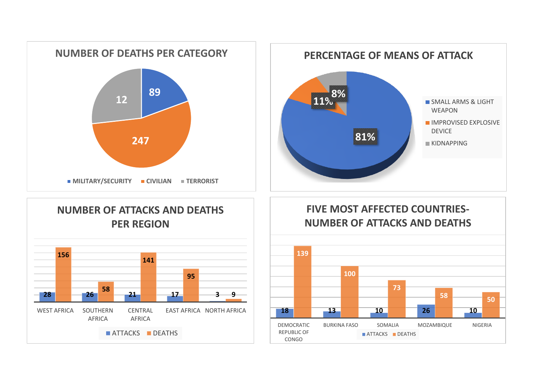



#### **28 26 21 17 3 156 58 141 95 9** WEST AFRICA SOUTHERN AFRICA **CENTRAL** AFRICA EAST AFRICA NORTH AFRICA **NUMBER OF ATTACKS AND DEATHS PER REGION**

 $\blacksquare$  ATTACKS  $\blacksquare$  DEATHS

### **FIVE MOST AFFECTED COUNTRIES-NUMBER OF ATTACKS AND DEATHS**